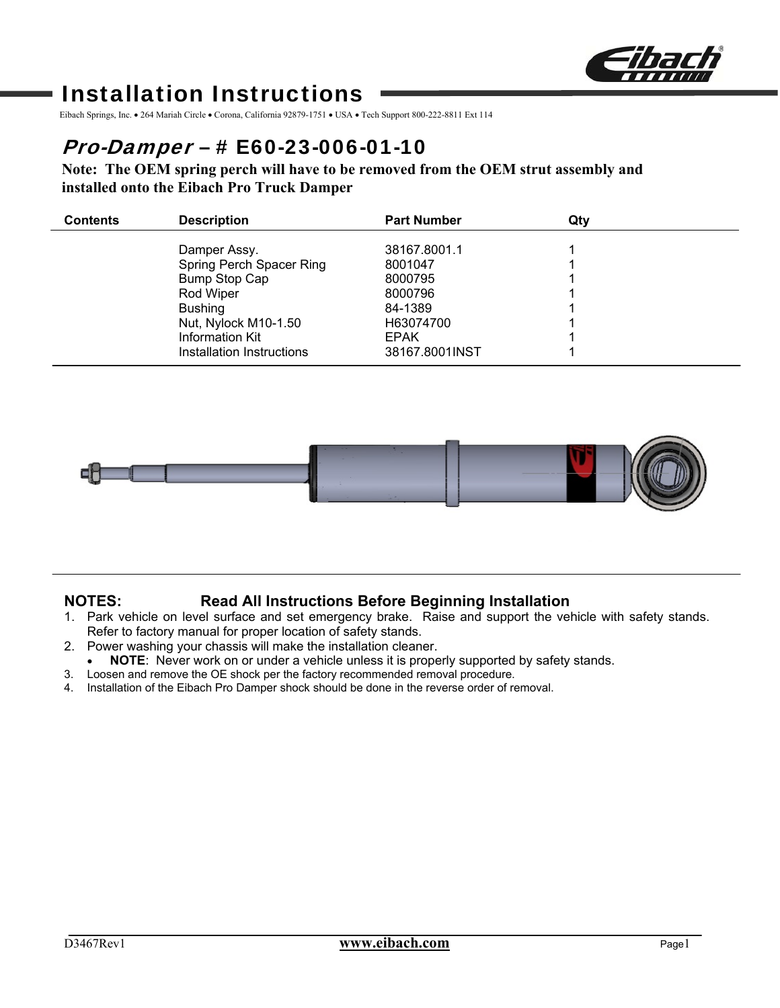

# Installation Instructions

Eibach Springs, Inc. • 264 Mariah Circle • Corona, California 92879-1751 • USA • Tech Support 800-222-8811 Ext 114

# Pro-Damper – # E60-23-006-01-10

**Note: The OEM spring perch will have to be removed from the OEM strut assembly and installed onto the Eibach Pro Truck Damper** 

| <b>Contents</b> | <b>Description</b>        | <b>Part Number</b> | Qtv |  |
|-----------------|---------------------------|--------------------|-----|--|
|                 | Damper Assy.              | 38167.8001.1       |     |  |
|                 | Spring Perch Spacer Ring  | 8001047            |     |  |
|                 | <b>Bump Stop Cap</b>      | 8000795            |     |  |
|                 | Rod Wiper                 | 8000796            |     |  |
|                 | <b>Bushing</b>            | 84-1389            |     |  |
|                 | Nut, Nylock M10-1.50      | H63074700          |     |  |
|                 | Information Kit           | <b>EPAK</b>        |     |  |
|                 | Installation Instructions | 38167.8001INST     |     |  |



## **NOTES: Read All Instructions Before Beginning Installation**

- 1. Park vehicle on level surface and set emergency brake. Raise and support the vehicle with safety stands. Refer to factory manual for proper location of safety stands.
- 2. Power washing your chassis will make the installation cleaner.
- **NOTE**: Never work on or under a vehicle unless it is properly supported by safety stands.
- 3. Loosen and remove the OE shock per the factory recommended removal procedure.
- 4. Installation of the Eibach Pro Damper shock should be done in the reverse order of removal.